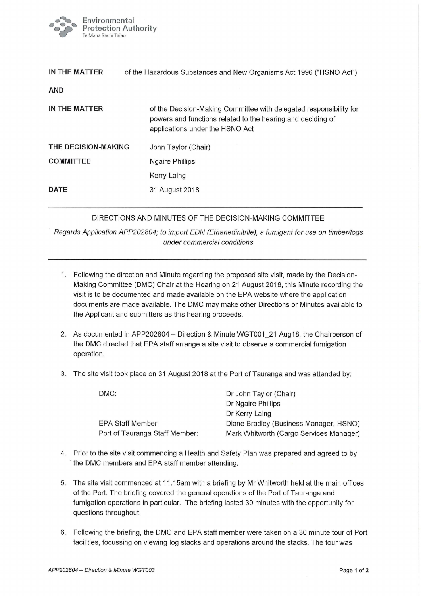

| IN THE MATTER       | of the Hazardous Substances and New Organisms Act 1996 ("HSNO Act")                                                                                                  |  |
|---------------------|----------------------------------------------------------------------------------------------------------------------------------------------------------------------|--|
| <b>AND</b>          |                                                                                                                                                                      |  |
| IN THE MATTER       | of the Decision-Making Committee with delegated responsibility for<br>powers and functions related to the hearing and deciding of<br>applications under the HSNO Act |  |
| THE DECISION-MAKING | John Taylor (Chair)                                                                                                                                                  |  |
| <b>COMMITTEE</b>    | Ngaire Phillips                                                                                                                                                      |  |
|                     | Kerry Laing                                                                                                                                                          |  |
| <b>DATE</b>         | 31 August 2018                                                                                                                                                       |  |

## DIRECTIONS AND MINUTES OF THE DECISION-MAKING COMMITTEE

Regards Application APP202804; to import EDN (Ethanedinitrile), a fumigant for use on timber/logs under commercial conditions

- 1. Following the direction and Minute regarding the proposed site visit, made by the Decision-Making Committee (DMC) Chair at the Hearing on 21 August 2018, this Minute recording the visit is to be documented and made available on the EPA website where the application documents are made available. The DMC may make other Directions or Minutes available to the Applicant and submitters as this hearing proceeds.
- 2. As documented in APP202804 Direction & Minute WGT001- 21 Aug18, the Chairperson of the DMC directed that EPA staff arrange a site visit to observe a commercial fumigation operation.
- 3. The site visit took place on 31 August 2018 at the Port of Tauranga and was attended by:

| DMC:                           | Dr John Taylor (Chair)                  |
|--------------------------------|-----------------------------------------|
|                                | Dr Ngaire Phillips                      |
|                                | Dr Kerry Laing                          |
| <b>EPA Staff Member:</b>       | Diane Bradley (Business Manager, HSNO)  |
| Port of Tauranga Staff Member: | Mark Whitworth (Cargo Services Manager) |

- 4. Prior to the site visit commencing a Health and Safety Plan was prepared and agreed to by the DMC members and EPA staff member attending.
- 5. The site visit commenced at 11.15am with a briefing by Mr Whitworth held at the main offices of the Port. The briefing covered the general operations of the Port of Tauranga and fumigation operations in particular. The briefing lasted 30 minutes with the opportunity for questions throughout.
- 6. Following the briefing, the DMC and EPA staff member were taken on a 30 minute tour of Port facilities, focussing on viewing log stacks and operations around the stacks, The tour was